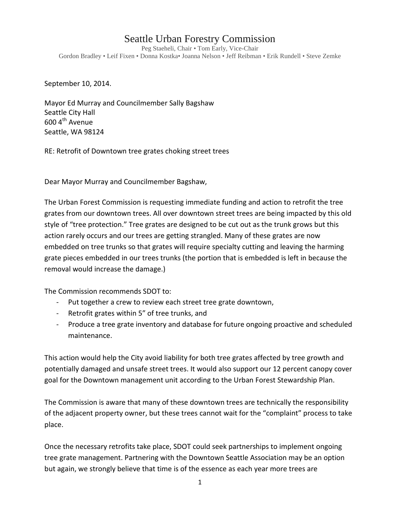## Seattle Urban Forestry Commission

Peg Staeheli, Chair • Tom Early, Vice-Chair Gordon Bradley • Leif Fixen • Donna Kostka• Joanna Nelson • Jeff Reibman • Erik Rundell • Steve Zemke

September 10, 2014.

Mayor Ed Murray and Councilmember Sally Bagshaw Seattle City Hall  $600$  4<sup>th</sup> Avenue Seattle, WA 98124

RE: Retrofit of Downtown tree grates choking street trees

Dear Mayor Murray and Councilmember Bagshaw,

The Urban Forest Commission is requesting immediate funding and action to retrofit the tree grates from our downtown trees. All over downtown street trees are being impacted by this old style of "tree protection." Tree grates are designed to be cut out as the trunk grows but this action rarely occurs and our trees are getting strangled. Many of these grates are now embedded on tree trunks so that grates will require specialty cutting and leaving the harming grate pieces embedded in our trees trunks (the portion that is embedded is left in because the removal would increase the damage.)

The Commission recommends SDOT to:

- Put together a crew to review each street tree grate downtown,
- Retrofit grates within 5" of tree trunks, and
- Produce a tree grate inventory and database for future ongoing proactive and scheduled maintenance.

This action would help the City avoid liability for both tree grates affected by tree growth and potentially damaged and unsafe street trees. It would also support our 12 percent canopy cover goal for the Downtown management unit according to the Urban Forest Stewardship Plan.

The Commission is aware that many of these downtown trees are technically the responsibility of the adjacent property owner, but these trees cannot wait for the "complaint" process to take place.

Once the necessary retrofits take place, SDOT could seek partnerships to implement ongoing tree grate management. Partnering with the Downtown Seattle Association may be an option but again, we strongly believe that time is of the essence as each year more trees are